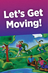# Let's Get Moving!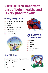## Exercise is an important part of being healthy and is very good for you!

### **During Pregnancy**

- Less chance of gestational diabetes
- Less back pain
- Shorter labor
- **Less chance of cesarean section**
- **Quicker postpartum recovery**
- **Easier weight control**
- 





#### Better overall feeling **As a Lifestyle Prevention of:**

- Heart disease
- **Diabetes**
- **Depression**
- **S** Osteoporosis
- High blood pressure
- **D**besity

#### **For Children**

- **Develop early, a habit of being physically active**
- Promote healthy growth
- **Control weight**
- **Avoid laziness**
- **Improve mental alertness**



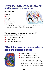#### **There are many types of safe, fun and inexpensive exercise.**

Some examples are:

- Walking Biking
- Swimming
- **Aerobics**
- **Resistance training**
- Floor exercises:



side leg lifts, front leg lifts, back leg lifts, stomach crunches (do not do these exercises after the first trimester), arm curls and arm lifts

#### **You can use many household items to provide resistance or weight for you—**

- A can of soup or other canned food
- A bag of dry beans
- A plastic jug full of sand or water

#### **Other things you can do every day to get more exercise include:**



- Parking farther away from stores
- Using the stairs instead of the elevator
- Walking to visit friends instead of driving

For your health, try to be active at least 30 minutes a day. If you don't have time to walk for 30 minutes, try to go for 10 minutes, three times a day. You'll see the difference it makes!

3